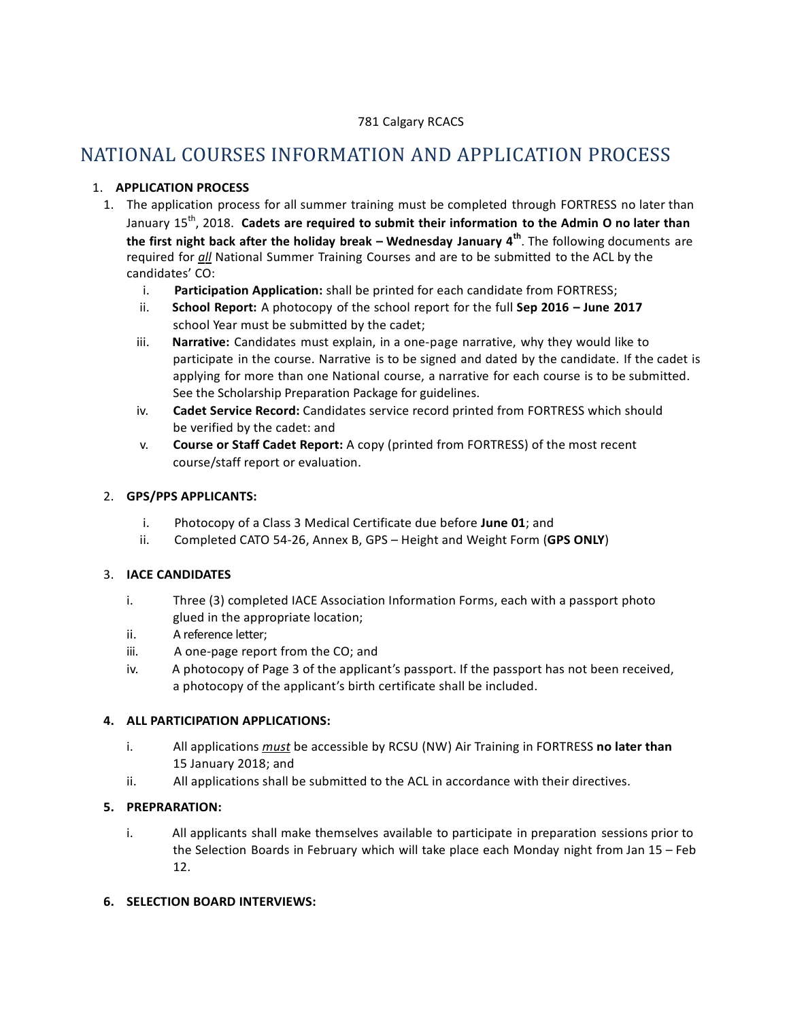### 781 Calgary RCACS

# NATIONAL COURSES INFORMATION AND APPLICATION PROCESS

## 1. **APPLICATION PROCESS**

- 1. The application process for all summer training must be completed through FORTRESS no later than January 15th , 2018. **Cadets are required to submit their information to the Admin O no later than the first night back after the holiday break – Wednesday January 4 th** . The following documents are required for all National Summer Training Courses and are to be submitted to the ACL by the candidates' CO:
	- i. **Participation Application:** shall be printed for each candidate from FORTRESS;
	- ii. **School Report:** A photocopy of the school report for the full **Sep 2016 – June 2017** school Year must be submitted by the cadet;
	- iii. **Narrative:** Candidates must explain, in a one-page narrative, why they would like to participate in the course. Narrative is to be signed and dated by the candidate. If the cadet is applying for more than one National course, a narrative for each course is to be submitted. See the Scholarship Preparation Package for guidelines.
	- iv. **Cadet Service Record:** Candidates service record printed from FORTRESS which should be verified by the cadet: and
	- v. **Course or Staff Cadet Report:** A copy (printed from FORTRESS) of the most recent course/staff report or evaluation.

#### 2. **GPS/PPS APPLICANTS:**

- i. Photocopy of a Class 3 Medical Certificate due before **June 01**; and
- ii. Completed CATO 54-26, Annex B, GPS Height and Weight Form (**GPS ONLY**)

#### 3. **IACE CANDIDATES**

- i. Three (3) completed IACE Association Information Forms, each with a passport photo glued in the appropriate location;
- ii. A reference letter;
- iii. A one-page report from the CO; and
- iv. A photocopy of Page 3 of the applicant's passport. If the passport has not been received, a photocopy of the applicant's birth certificate shall be included.

#### **4. ALL PARTICIPATION APPLICATIONS:**

- i. All applications *must* be accessible by RCSU (NW) Air Training in FORTRESS no later than 15 January 2018; and
- ii. All applications shall be submitted to the ACL in accordance with their directives.

## **5. PREPRARATION:**

i. All applicants shall make themselves available to participate in preparation sessions prior to the Selection Boards in February which will take place each Monday night from Jan 15 – Feb 12.

#### **6. SELECTION BOARD INTERVIEWS:**